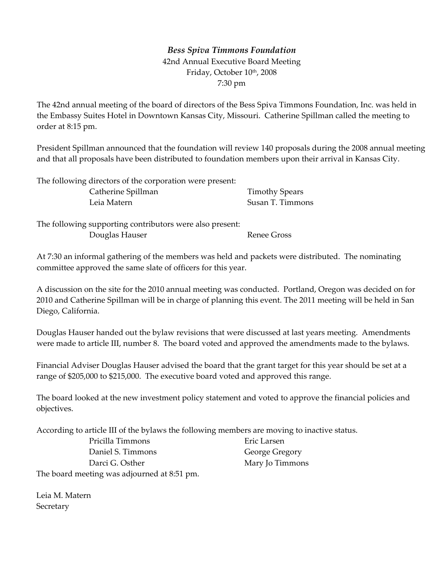## *Bess Spiva Timmons Foundation* 42nd Annual Executive Board Meeting Friday, October 10th, 2008 7:30 pm

The 42nd annual meeting of the board of directors of the Bess Spiva Timmons Foundation, Inc. was held in the Embassy Suites Hotel in Downtown Kansas City, Missouri. Catherine Spillman called the meeting to order at 8:15 pm.

President Spillman announced that the foundation will review 140 proposals during the 2008 annual meeting and that all proposals have been distributed to foundation members upon their arrival in Kansas City.

| The following directors of the corporation were present: |                       |
|----------------------------------------------------------|-----------------------|
| Catherine Spillman                                       | <b>Timothy Spears</b> |
| Leia Matern                                              | Susan T. Timmons      |

The following supporting contributors were also present: Douglas Hauser Renee Gross

At 7:30 an informal gathering of the members was held and packets were distributed. The nominating committee approved the same slate of officers for this year.

A discussion on the site for the 2010 annual meeting was conducted. Portland, Oregon was decided on for 2010 and Catherine Spillman will be in charge of planning this event. The 2011 meeting will be held in San Diego, California.

Douglas Hauser handed out the bylaw revisions that were discussed at last years meeting. Amendments were made to article III, number 8. The board voted and approved the amendments made to the bylaws.

Financial Adviser Douglas Hauser advised the board that the grant target for this year should be set at a range of \$205,000 to \$215,000. The executive board voted and approved this range.

The board looked at the new investment policy statement and voted to approve the financial policies and objectives.

> Eric Larsen George Gregory Mary Jo Timmons

According to article III of the bylaws the following members are moving to inactive status.

Pricilla Timmons Daniel S. Timmons Darci G. Osther The board meeting was adjourned at 8:51 pm.

Leia M. Matern **Secretary**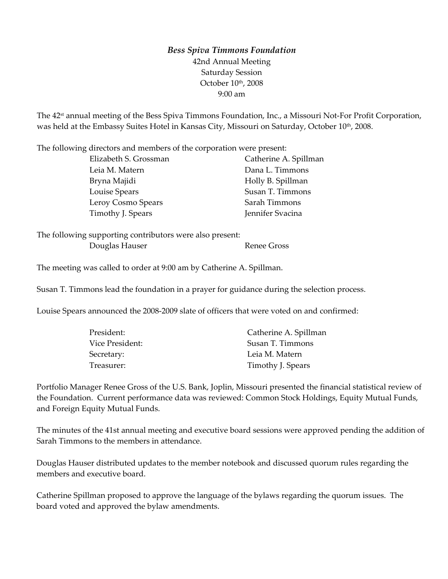## *Bess Spiva Timmons Foundation* 42nd Annual Meeting Saturday Session October 10<sup>th</sup>, 2008 9:00 am

The 42<sup>st</sup> annual meeting of the Bess Spiva Timmons Foundation, Inc., a Missouri Not-For Profit Corporation, was held at the Embassy Suites Hotel in Kansas City, Missouri on Saturday, October 10<sup>th</sup>, 2008.

The following directors and members of the corporation were present:

| Elizabeth S. Grossman | Catherine A. Spillman |
|-----------------------|-----------------------|
| Leia M. Matern        | Dana L. Timmons       |
| Bryna Majidi          | Holly B. Spillman     |
| Louise Spears         | Susan T. Timmons      |
| Leroy Cosmo Spears    | Sarah Timmons         |
| Timothy J. Spears     | Jennifer Svacina      |
|                       |                       |

The following supporting contributors were also present: Douglas Hauser **Renee Gross** 

The meeting was called to order at 9:00 am by Catherine A. Spillman.

Susan T. Timmons lead the foundation in a prayer for guidance during the selection process.

Louise Spears announced the 2008‐2009 slate of officers that were voted on and confirmed:

| Catherine A. Spillman |
|-----------------------|
| Susan T. Timmons      |
| Leia M. Matern        |
| Timothy J. Spears     |
|                       |

Portfolio Manager Renee Gross of the U.S. Bank, Joplin, Missouri presented the financial statistical review of the Foundation. Current performance data was reviewed: Common Stock Holdings, Equity Mutual Funds, and Foreign Equity Mutual Funds.

The minutes of the 41st annual meeting and executive board sessions were approved pending the addition of Sarah Timmons to the members in attendance.

Douglas Hauser distributed updates to the member notebook and discussed quorum rules regarding the members and executive board.

Catherine Spillman proposed to approve the language of the bylaws regarding the quorum issues. The board voted and approved the bylaw amendments.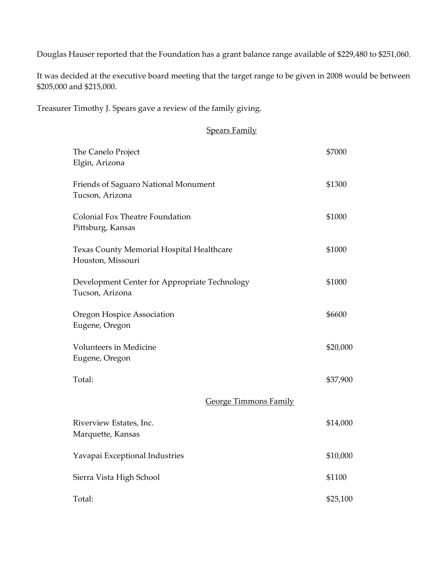Douglas Hauser reported that the Foundation has a grant balance range available of \$229,480 to \$251,060.

It was decided at the executive board meeting that the target range to be given in 2008 would be between \$205,000 and \$215,000.

Treasurer Timothy J. Spears gave a review of the family giving.

## Spears Family

| The Canelo Project<br>Elgin, Arizona                             | \$7000   |
|------------------------------------------------------------------|----------|
| Friends of Saguaro National Monument<br>Tucson, Arizona          | \$1300   |
| Colonial Fox Theatre Foundation<br>Pittsburg, Kansas             | \$1000   |
| Texas County Memorial Hospital Healthcare<br>Houston, Missouri   | \$1000   |
| Development Center for Appropriate Technology<br>Tucson, Arizona | \$1000   |
| Oregon Hospice Association<br>Eugene, Oregon                     | \$6600   |
| Volunteers in Medicine<br>Eugene, Oregon                         | \$20,000 |
| Total:                                                           | \$37,900 |
| <b>George Timmons Family</b>                                     |          |
| Riverview Estates, Inc.<br>Marquette, Kansas                     | \$14,000 |
| Yavapai Exceptional Industries                                   | \$10,000 |
| Sierra Vista High School                                         | \$1100   |
| Total:                                                           | \$25,100 |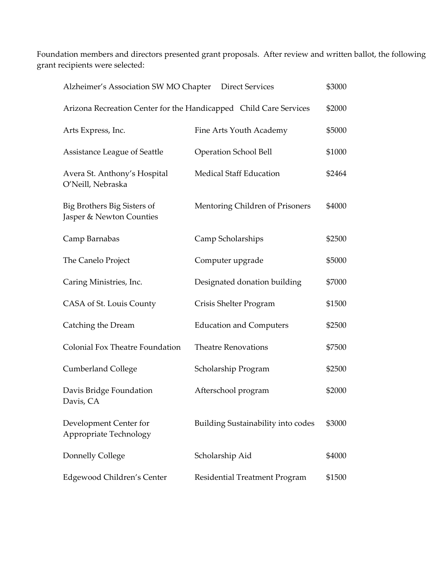Foundation members and directors presented grant proposals. After review and written ballot, the following grant recipients were selected:

| Alzheimer's Association SW MO Chapter<br><b>Direct Services</b>   |                                    | \$3000 |
|-------------------------------------------------------------------|------------------------------------|--------|
| Arizona Recreation Center for the Handicapped Child Care Services |                                    | \$2000 |
| Arts Express, Inc.                                                | Fine Arts Youth Academy            | \$5000 |
| Assistance League of Seattle                                      | <b>Operation School Bell</b>       | \$1000 |
| Avera St. Anthony's Hospital<br>O'Neill, Nebraska                 | <b>Medical Staff Education</b>     | \$2464 |
| Big Brothers Big Sisters of<br>Jasper & Newton Counties           | Mentoring Children of Prisoners    | \$4000 |
| Camp Barnabas                                                     | Camp Scholarships                  | \$2500 |
| The Canelo Project                                                | Computer upgrade                   | \$5000 |
| Caring Ministries, Inc.                                           | Designated donation building       | \$7000 |
| CASA of St. Louis County                                          | Crisis Shelter Program             | \$1500 |
| Catching the Dream                                                | <b>Education and Computers</b>     | \$2500 |
| <b>Colonial Fox Theatre Foundation</b>                            | <b>Theatre Renovations</b>         | \$7500 |
| <b>Cumberland College</b>                                         | Scholarship Program                | \$2500 |
| Davis Bridge Foundation<br>Davis, CA                              | Afterschool program                | \$2000 |
| Development Center for<br>Appropriate Technology                  | Building Sustainability into codes | \$3000 |
| Donnelly College                                                  | Scholarship Aid                    | \$4000 |
| Edgewood Children's Center                                        | Residential Treatment Program      | \$1500 |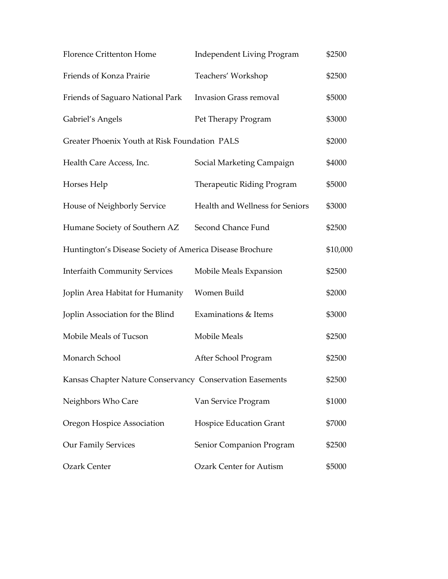| <b>Florence Crittenton Home</b>                          | <b>Independent Living Program</b> | \$2500   |
|----------------------------------------------------------|-----------------------------------|----------|
| Friends of Konza Prairie                                 | Teachers' Workshop                | \$2500   |
| Friends of Saguaro National Park                         | <b>Invasion Grass removal</b>     | \$5000   |
| Gabriel's Angels                                         | Pet Therapy Program               | \$3000   |
| Greater Phoenix Youth at Risk Foundation PALS            |                                   | \$2000   |
| Health Care Access, Inc.                                 | Social Marketing Campaign         | \$4000   |
| Horses Help                                              | Therapeutic Riding Program        | \$5000   |
| House of Neighborly Service                              | Health and Wellness for Seniors   | \$3000   |
| Humane Society of Southern AZ                            | Second Chance Fund                | \$2500   |
| Huntington's Disease Society of America Disease Brochure |                                   | \$10,000 |
| <b>Interfaith Community Services</b>                     | Mobile Meals Expansion            | \$2500   |
| Joplin Area Habitat for Humanity                         | Women Build                       | \$2000   |
| Joplin Association for the Blind                         | Examinations & Items              | \$3000   |
| Mobile Meals of Tucson                                   | Mobile Meals                      | \$2500   |
| Monarch School                                           | After School Program              | \$2500   |
| Kansas Chapter Nature Conservancy Conservation Easements |                                   | \$2500   |
| Neighbors Who Care                                       | Van Service Program               | \$1000   |
| Oregon Hospice Association                               | <b>Hospice Education Grant</b>    | \$7000   |
| <b>Our Family Services</b>                               | Senior Companion Program          | \$2500   |
| <b>Ozark Center</b>                                      | <b>Ozark Center for Autism</b>    | \$5000   |